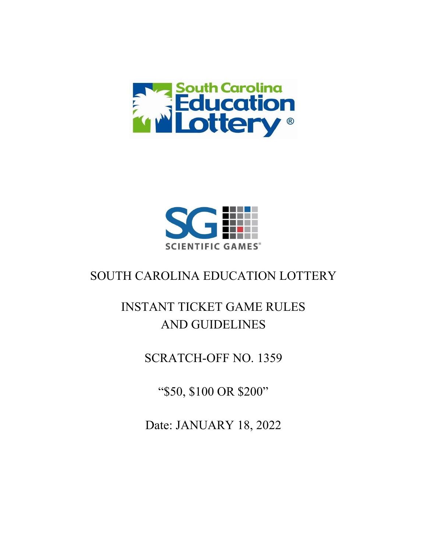



## SOUTH CAROLINA EDUCATION LOTTERY

# INSTANT TICKET GAME RULES AND GUIDELINES

### SCRATCH-OFF NO. 1359

"\$50, \$100 OR \$200"

Date: JANUARY 18, 2022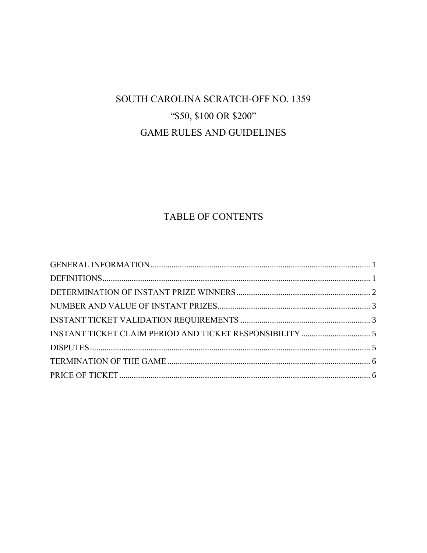## SOUTH CAROLINA SCRATCH-OFF NO. 1359 "\$50, \$100 OR \$200" **GAME RULES AND GUIDELINES**

### TABLE OF CONTENTS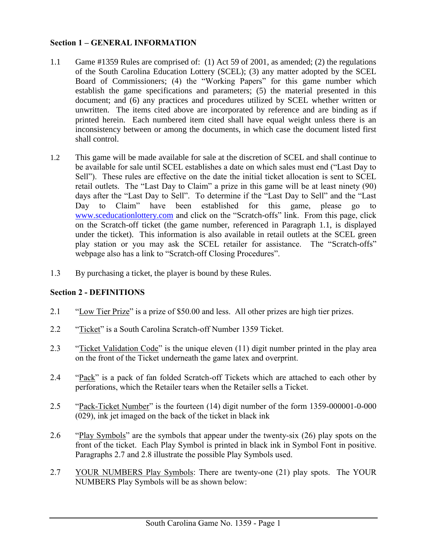#### <span id="page-2-0"></span>**Section 1 – GENERAL INFORMATION**

- 1.1 Game #1359 Rules are comprised of: (1) Act 59 of 2001, as amended; (2) the regulations of the South Carolina Education Lottery (SCEL); (3) any matter adopted by the SCEL Board of Commissioners; (4) the "Working Papers" for this game number which establish the game specifications and parameters; (5) the material presented in this document; and (6) any practices and procedures utilized by SCEL whether written or unwritten. The items cited above are incorporated by reference and are binding as if printed herein. Each numbered item cited shall have equal weight unless there is an inconsistency between or among the documents, in which case the document listed first shall control.
- 1.2 This game will be made available for sale at the discretion of SCEL and shall continue to be available for sale until SCEL establishes a date on which sales must end ("Last Day to Sell"). These rules are effective on the date the initial ticket allocation is sent to SCEL retail outlets. The "Last Day to Claim" a prize in this game will be at least ninety (90) days after the "Last Day to Sell". To determine if the "Last Day to Sell" and the "Last Day to Claim" have been established for this game, please go to [www.sceducationlottery.com](http://www.sceducationlottery.com/) and click on the "Scratch-offs" link. From this page, click on the Scratch-off ticket (the game number, referenced in Paragraph 1.1, is displayed under the ticket). This information is also available in retail outlets at the SCEL green play station or you may ask the SCEL retailer for assistance. The "Scratch-offs" webpage also has a link to "Scratch-off Closing Procedures".
- 1.3 By purchasing a ticket, the player is bound by these Rules.

#### <span id="page-2-1"></span>**Section 2 - DEFINITIONS**

- 2.1 "Low Tier Prize" is a prize of \$50.00 and less. All other prizes are high tier prizes.
- 2.2 "Ticket" is a South Carolina Scratch-off Number 1359 Ticket.
- 2.3 "Ticket Validation Code" is the unique eleven (11) digit number printed in the play area on the front of the Ticket underneath the game latex and overprint.
- 2.4 "Pack" is a pack of fan folded Scratch-off Tickets which are attached to each other by perforations, which the Retailer tears when the Retailer sells a Ticket.
- 2.5 "Pack-Ticket Number" is the fourteen (14) digit number of the form 1359-000001-0-000 (029), ink jet imaged on the back of the ticket in black ink
- 2.6 "Play Symbols" are the symbols that appear under the twenty-six (26) play spots on the front of the ticket. Each Play Symbol is printed in black ink in Symbol Font in positive. Paragraphs 2.7 and 2.8 illustrate the possible Play Symbols used.
- 2.7 YOUR NUMBERS Play Symbols: There are twenty-one (21) play spots. The YOUR NUMBERS Play Symbols will be as shown below: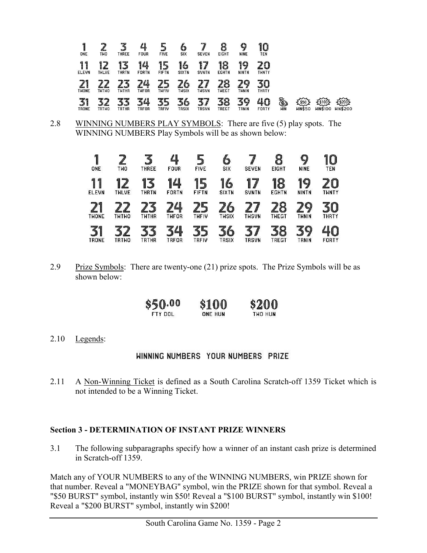| 1<br>ONE                       | am,<br>TWO        | ьđ<br><b>THREE</b>      | 4<br><b>FOUR</b>   | 5<br><b>FIVE</b>       | O<br>SIX           | <b>SEVEN</b>                  | <b>EIGHT</b>       | 9<br><b>NINE</b>   | 10<br>TEN          |                 |                                             |                                      |                             |
|--------------------------------|-------------------|-------------------------|--------------------|------------------------|--------------------|-------------------------------|--------------------|--------------------|--------------------|-----------------|---------------------------------------------|--------------------------------------|-----------------------------|
| 1<br>1<br><b>ELEVN</b>         | 2<br><b>THLVE</b> | 13<br><b>THRTN</b>      | 14<br>FORTN        | 5<br>1<br><b>FIFTN</b> | 16<br><b>SIXTN</b> | <b>SVNTN</b>                  | 18<br><b>EGHTN</b> | 19<br><b>NINTN</b> | 20<br><b>THNTY</b> |                 |                                             |                                      |                             |
| <b>THONE</b>                   | <b>THTHO</b>      | <b>THTHR</b>            | 74<br>TWFOR        | THFIV                  | 10<br><b>THSIX</b> | 7<br>7<br>Ħ₩m<br><b>THSVN</b> | Ω<br><b>THEGT</b>  | 70<br><b>THNIN</b> | 30<br><b>THRTY</b> |                 |                                             |                                      |                             |
| 3 <sup>1</sup><br><b>TRONE</b> | <b>TRTWO</b>      | handi P<br><b>TRTHR</b> | 34<br><b>TRFOR</b> | ı,<br>TRFIV            | 36<br><b>TRSIX</b> | 3<br>7<br><b>TRSVN</b>        | 38<br><b>TREGT</b> | 39<br>TRNIN        | 40<br>FORTY        | 勧<br><b>HIN</b> | $\sim$<br>$\frac{150}{2}$<br><b>WIN\$50</b> | $\frac{25100}{2}$<br><b>WIN\$100</b> | $\sim$<br>$\frac{200}{200}$ |

2.8 WINNING NUMBERS PLAY SYMBOLS: There are five (5) play spots. The WINNING NUMBERS Play Symbols will be as shown below:

| 1<br>ONE               | <b>TWO</b>         | <b>THREE</b>           | 4<br><b>FOUR</b>                            | <b>FIVE</b>                       | 6<br><b>SIX</b>        | <b>SEVEN</b>           | 8<br><b>EIGHT</b>      | 9<br><b>NINE</b>   | 10<br><b>TEN</b>         |
|------------------------|--------------------|------------------------|---------------------------------------------|-----------------------------------|------------------------|------------------------|------------------------|--------------------|--------------------------|
| 1<br>1<br><b>ELEVN</b> | 12<br><b>THLVE</b> | 3<br>1<br><b>THRTN</b> | 14<br><b>FORTN</b>                          | 1<br>5<br><b>FIFTN</b>            | 16<br><b>SIXTN</b>     | 7<br>1<br><b>SVNTN</b> | 18<br><b>EGHTN</b>     | 19<br><b>NINTN</b> | $\bf{C}$<br><b>THNTY</b> |
| 21<br><b>THONE</b>     | 2<br><b>THTHO</b>  | <b>TWTHR</b>           | 74<br><b>THFOR</b>                          | $\mathbf{F}$<br>7<br><b>THFIV</b> | 6<br><b>THSIX</b>      | 7<br>♪<br><b>THSVN</b> | 8<br>THEGT             | 29<br>THNIN        | 30<br><b>THRTY</b>       |
| 31<br><b>TRONE</b>     | <b>TRTWO</b>       | <b>TRTHR</b>           | $\mathbf{\mathcal{L}}$<br>7<br><b>TRFOR</b> | 35<br><b>TRFIV</b>                | 6<br>3<br><b>TRSIX</b> | 7<br>3<br><b>TRSVN</b> | 8<br>₹<br><b>TREGT</b> | 39<br>TRNIN        | FORTY                    |

2.9 Prize Symbols: There are twenty-one (21) prize spots. The Prize Symbols will be as shown below:

| \$50.00  | \$100   | \$200   |
|----------|---------|---------|
| ETY DOL. | ONE HUN | THO HUN |

2.10 Legends:

#### <span id="page-3-0"></span>**HINNING NUMBERS YOUR NUMBERS PRIZE**

2.11 A Non-Winning Ticket is defined as a South Carolina Scratch-off 1359 Ticket which is not intended to be a Winning Ticket.

#### **Section 3 - DETERMINATION OF INSTANT PRIZE WINNERS**

3.1 The following subparagraphs specify how a winner of an instant cash prize is determined in Scratch-off 1359.

Match any of YOUR NUMBERS to any of the WINNING NUMBERS, win PRIZE shown for that number. Reveal a "MONEYBAG" symbol, win the PRIZE shown for that symbol. Reveal a "\$50 BURST" symbol, instantly win \$50! Reveal a "\$100 BURST" symbol, instantly win \$100! Reveal a "\$200 BURST" symbol, instantly win \$200!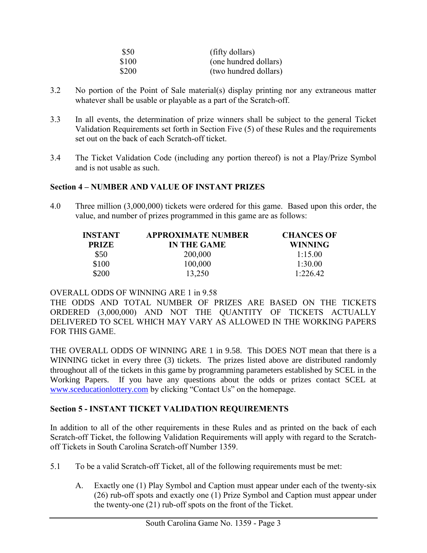| \$50  | (fifty dollars)       |
|-------|-----------------------|
| \$100 | (one hundred dollars) |
| \$200 | (two hundred dollars) |

- 3.2 No portion of the Point of Sale material(s) display printing nor any extraneous matter whatever shall be usable or playable as a part of the Scratch-off.
- 3.3 In all events, the determination of prize winners shall be subject to the general Ticket Validation Requirements set forth in Section Five (5) of these Rules and the requirements set out on the back of each Scratch-off ticket.
- 3.4 The Ticket Validation Code (including any portion thereof) is not a Play/Prize Symbol and is not usable as such.

#### **Section 4 – NUMBER AND VALUE OF INSTANT PRIZES**

4.0 Three million (3,000,000) tickets were ordered for this game. Based upon this order, the value, and number of prizes programmed in this game are as follows:

<span id="page-4-0"></span>

| INSTANT      | <b>APPROXIMATE NUMBER</b> | <b>CHANCES OF</b> |
|--------------|---------------------------|-------------------|
| <b>PRIZE</b> | <b>IN THE GAME</b>        | <b>WINNING</b>    |
| \$50         | 200,000                   | 1:15.00           |
| \$100        | 100,000                   | 1:30.00           |
| \$200        | 13,250                    | 1:226.42          |

#### OVERALL ODDS OF WINNING ARE 1 in 9.58

THE ODDS AND TOTAL NUMBER OF PRIZES ARE BASED ON THE TICKETS ORDERED (3,000,000) AND NOT THE QUANTITY OF TICKETS ACTUALLY DELIVERED TO SCEL WHICH MAY VARY AS ALLOWED IN THE WORKING PAPERS FOR THIS GAME.

THE OVERALL ODDS OF WINNING ARE 1 in 9.58. This DOES NOT mean that there is a WINNING ticket in every three (3) tickets. The prizes listed above are distributed randomly throughout all of the tickets in this game by programming parameters established by SCEL in the Working Papers. If you have any questions about the odds or prizes contact SCEL at [www.sceducationlottery.com](http://www.sceducationlottery.com/) by clicking "Contact Us" on the homepage.

#### <span id="page-4-1"></span>**Section 5 - INSTANT TICKET VALIDATION REQUIREMENTS**

In addition to all of the other requirements in these Rules and as printed on the back of each Scratch-off Ticket, the following Validation Requirements will apply with regard to the Scratchoff Tickets in South Carolina Scratch-off Number 1359.

- 5.1 To be a valid Scratch-off Ticket, all of the following requirements must be met:
	- A. Exactly one (1) Play Symbol and Caption must appear under each of the twenty-six (26) rub-off spots and exactly one (1) Prize Symbol and Caption must appear under the twenty-one (21) rub-off spots on the front of the Ticket.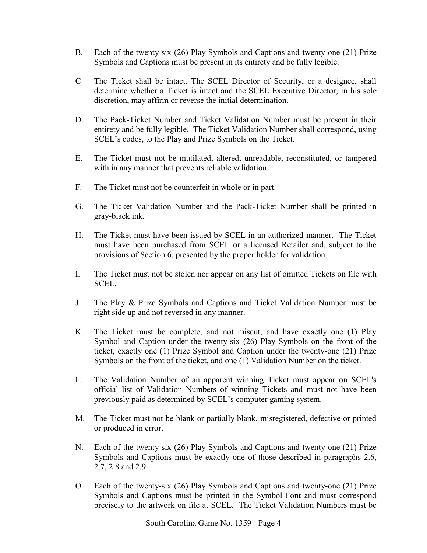- B. Each of the twenty-six (26) Play Symbols and Captions and twenty-one (21) Prize Symbols and Captions must be present in its entirety and be fully legible.
- C The Ticket shall be intact. The SCEL Director of Security, or a designee, shall determine whether a Ticket is intact and the SCEL Executive Director, in his sole discretion, may affirm or reverse the initial determination.
- D. The Pack-Ticket Number and Ticket Validation Number must be present in their entirety and be fully legible. The Ticket Validation Number shall correspond, using SCEL's codes, to the Play and Prize Symbols on the Ticket.
- E. The Ticket must not be mutilated, altered, unreadable, reconstituted, or tampered with in any manner that prevents reliable validation.
- F. The Ticket must not be counterfeit in whole or in part.
- G. The Ticket Validation Number and the Pack-Ticket Number shall be printed in gray-black ink.
- H. The Ticket must have been issued by SCEL in an authorized manner. The Ticket must have been purchased from SCEL or a licensed Retailer and, subject to the provisions of Section 6, presented by the proper holder for validation.
- I. The Ticket must not be stolen nor appear on any list of omitted Tickets on file with SCEL.
- J. The Play & Prize Symbols and Captions and Ticket Validation Number must be right side up and not reversed in any manner.
- K. The Ticket must be complete, and not miscut, and have exactly one (1) Play Symbol and Caption under the twenty-six (26) Play Symbols on the front of the ticket, exactly one (1) Prize Symbol and Caption under the twenty-one (21) Prize Symbols on the front of the ticket, and one (1) Validation Number on the ticket.
- L. The Validation Number of an apparent winning Ticket must appear on SCEL's official list of Validation Numbers of winning Tickets and must not have been previously paid as determined by SCEL's computer gaming system.
- M. The Ticket must not be blank or partially blank, misregistered, defective or printed or produced in error.
- N. Each of the twenty-six (26) Play Symbols and Captions and twenty-one (21) Prize Symbols and Captions must be exactly one of those described in paragraphs 2.6, 2.7, 2.8 and 2.9.
- O. Each of the twenty-six (26) Play Symbols and Captions and twenty-one (21) Prize Symbols and Captions must be printed in the Symbol Font and must correspond precisely to the artwork on file at SCEL. The Ticket Validation Numbers must be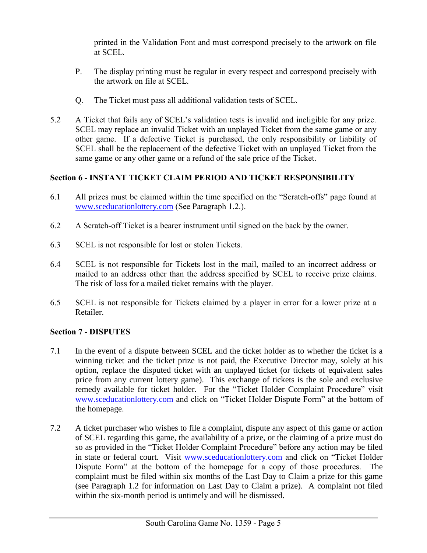printed in the Validation Font and must correspond precisely to the artwork on file at SCEL.

- P. The display printing must be regular in every respect and correspond precisely with the artwork on file at SCEL.
- <span id="page-6-0"></span>Q. The Ticket must pass all additional validation tests of SCEL.
- 5.2 A Ticket that fails any of SCEL's validation tests is invalid and ineligible for any prize. SCEL may replace an invalid Ticket with an unplayed Ticket from the same game or any other game. If a defective Ticket is purchased, the only responsibility or liability of SCEL shall be the replacement of the defective Ticket with an unplayed Ticket from the same game or any other game or a refund of the sale price of the Ticket.

#### **Section 6 - INSTANT TICKET CLAIM PERIOD AND TICKET RESPONSIBILITY**

- 6.1 All prizes must be claimed within the time specified on the "Scratch-offs" page found at [www.sceducationlottery.com](http://www.sceducationlottery.com/) (See Paragraph 1.2.).
- 6.2 A Scratch-off Ticket is a bearer instrument until signed on the back by the owner.
- 6.3 SCEL is not responsible for lost or stolen Tickets.
- 6.4 SCEL is not responsible for Tickets lost in the mail, mailed to an incorrect address or mailed to an address other than the address specified by SCEL to receive prize claims. The risk of loss for a mailed ticket remains with the player.
- 6.5 SCEL is not responsible for Tickets claimed by a player in error for a lower prize at a Retailer.

#### <span id="page-6-1"></span>**Section 7 - DISPUTES**

- 7.1 In the event of a dispute between SCEL and the ticket holder as to whether the ticket is a winning ticket and the ticket prize is not paid, the Executive Director may, solely at his option, replace the disputed ticket with an unplayed ticket (or tickets of equivalent sales price from any current lottery game). This exchange of tickets is the sole and exclusive remedy available for ticket holder. For the "Ticket Holder Complaint Procedure" visit [www.sceducationlottery.com](http://www.sceducationlottery.com/) and click on "Ticket Holder Dispute Form" at the bottom of the homepage.
- 7.2 A ticket purchaser who wishes to file a complaint, dispute any aspect of this game or action of SCEL regarding this game, the availability of a prize, or the claiming of a prize must do so as provided in the "Ticket Holder Complaint Procedure" before any action may be filed in state or federal court. Visit [www.sceducationlottery.com](http://www.sceducationlottery.com/) and click on "Ticket Holder Dispute Form" at the bottom of the homepage for a copy of those procedures. The complaint must be filed within six months of the Last Day to Claim a prize for this game (see Paragraph 1.2 for information on Last Day to Claim a prize). A complaint not filed within the six-month period is untimely and will be dismissed.